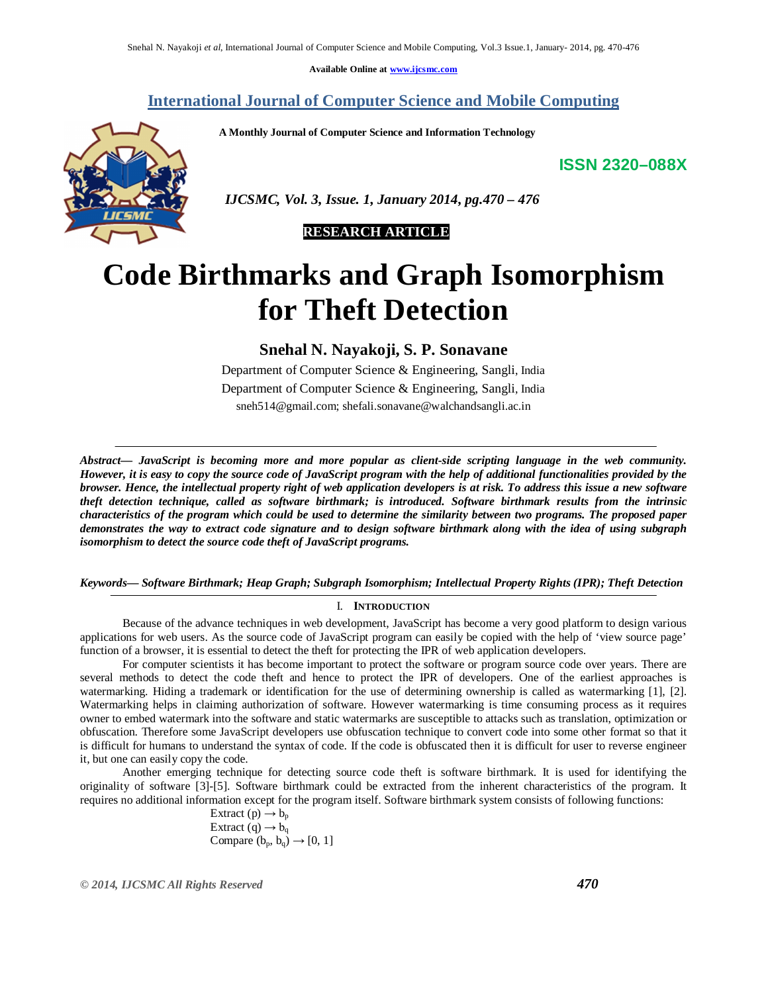**Available Online at www.ijcsmc.com**

## **International Journal of Computer Science and Mobile Computing**

 **A Monthly Journal of Computer Science and Information Technology**

**ISSN 2320–088X**



 *IJCSMC, Vol. 3, Issue. 1, January 2014, pg.470 – 476*

# **RESEARCH ARTICLE**

# **Code Birthmarks and Graph Isomorphism for Theft Detection**

**Snehal N. Nayakoji, S. P. Sonavane** 

Department of Computer Science & Engineering, Sangli, India Department of Computer Science & Engineering, Sangli, India sneh514@gmail.com; shefali.sonavane@walchandsangli.ac.in

*Abstract— JavaScript is becoming more and more popular as client-side scripting language in the web community. However, it is easy to copy the source code of JavaScript program with the help of additional functionalities provided by the browser. Hence, the intellectual property right of web application developers is at risk. To address this issue a new software theft detection technique, called as software birthmark; is introduced. Software birthmark results from the intrinsic characteristics of the program which could be used to determine the similarity between two programs. The proposed paper demonstrates the way to extract code signature and to design software birthmark along with the idea of using subgraph isomorphism to detect the source code theft of JavaScript programs.*

## *Keywords— Software Birthmark; Heap Graph; Subgraph Isomorphism; Intellectual Property Rights (IPR); Theft Detection*

## I. **INTRODUCTION**

Because of the advance techniques in web development, JavaScript has become a very good platform to design various applications for web users. As the source code of JavaScript program can easily be copied with the help of 'view source page' function of a browser, it is essential to detect the theft for protecting the IPR of web application developers.

For computer scientists it has become important to protect the software or program source code over years. There are several methods to detect the code theft and hence to protect the IPR of developers. One of the earliest approaches is watermarking. Hiding a trademark or identification for the use of determining ownership is called as watermarking [1], [2]. Watermarking helps in claiming authorization of software. However watermarking is time consuming process as it requires owner to embed watermark into the software and static watermarks are susceptible to attacks such as translation, optimization or obfuscation. Therefore some JavaScript developers use obfuscation technique to convert code into some other format so that it is difficult for humans to understand the syntax of code. If the code is obfuscated then it is difficult for user to reverse engineer it, but one can easily copy the code.

Another emerging technique for detecting source code theft is software birthmark. It is used for identifying the originality of software [3]-[5]. Software birthmark could be extracted from the inherent characteristics of the program. It requires no additional information except for the program itself. Software birthmark system consists of following functions:

> Extract  $(p) \rightarrow b_p$ Extract (q)  $\rightarrow b_{q}$ Compare  $(b_p, b_q) \rightarrow [0, 1]$

*© 2014, IJCSMC All Rights Reserved 470*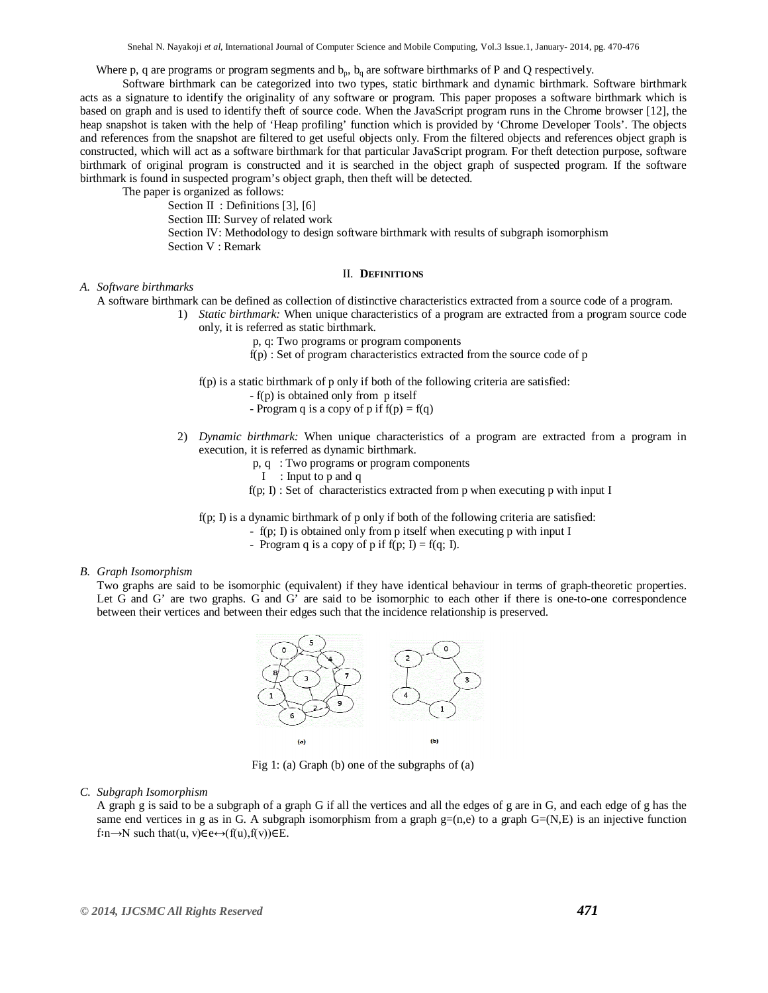Where p, q are programs or program segments and  $b_p$ ,  $b_q$  are software birthmarks of P and Q respectively.

Software birthmark can be categorized into two types, static birthmark and dynamic birthmark. Software birthmark acts as a signature to identify the originality of any software or program. This paper proposes a software birthmark which is based on graph and is used to identify theft of source code. When the JavaScript program runs in the Chrome browser [12], the heap snapshot is taken with the help of 'Heap profiling' function which is provided by 'Chrome Developer Tools'. The objects and references from the snapshot are filtered to get useful objects only. From the filtered objects and references object graph is constructed, which will act as a software birthmark for that particular JavaScript program. For theft detection purpose, software birthmark of original program is constructed and it is searched in the object graph of suspected program. If the software birthmark is found in suspected program's object graph, then theft will be detected.

The paper is organized as follows:

Section II : Definitions [3], [6] Section III: Survey of related work Section IV: Methodology to design software birthmark with results of subgraph isomorphism Section V : Remark

#### II. **DEFINITIONS**

## *A. Software birthmarks*

A software birthmark can be defined as collection of distinctive characteristics extracted from a source code of a program.

- 1) *Static birthmark:* When unique characteristics of a program are extracted from a program source code only, it is referred as static birthmark.
	- p, q: Two programs or program components
	- $f(p)$ : Set of program characteristics extracted from the source code of p
	- f(p) is a static birthmark of p only if both of the following criteria are satisfied:
		- f(p) is obtained only from p itself
		- Program q is a copy of p if  $f(p) = f(q)$
	- 2) *Dynamic birthmark:* When unique characteristics of a program are extracted from a program in execution, it is referred as dynamic birthmark.
		- p, q : Two programs or program components
		- I : Input to p and q
		- $f(p; I)$ : Set of characteristics extracted from p when executing p with input I

f(p; I) is a dynamic birthmark of p only if both of the following criteria are satisfied:

- f(p; I) is obtained only from p itself when executing p with input I
	- Program q is a copy of p if  $f(p; I) = f(q; I)$ .

#### *B. Graph Isomorphism*

Two graphs are said to be isomorphic (equivalent) if they have identical behaviour in terms of graph-theoretic properties. Let G and G' are two graphs. G and G' are said to be isomorphic to each other if there is one-to-one correspondence between their vertices and between their edges such that the incidence relationship is preserved.



Fig 1: (a) Graph (b) one of the subgraphs of (a)

*C. Subgraph Isomorphism*

A graph g is said to be a subgraph of a graph G if all the vertices and all the edges of g are in G, and each edge of g has the same end vertices in g as in G. A subgraph isomorphism from a graph  $g=(n,e)$  to a graph  $G=(N,E)$  is an injective function  $f: n \rightarrow N$  such that $(u, v) \in e \leftrightarrow (f(u), f(v)) \in E$ .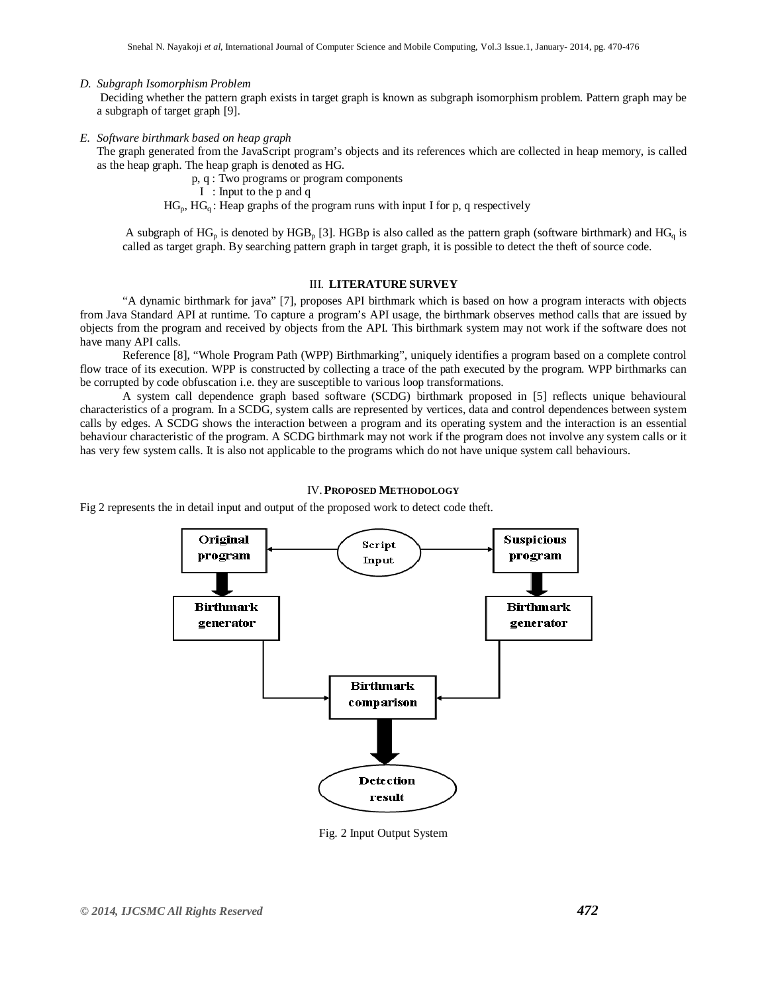## *D. Subgraph Isomorphism Problem*

Deciding whether the pattern graph exists in target graph is known as subgraph isomorphism problem. Pattern graph may be a subgraph of target graph [9].

*E. Software birthmark based on heap graph*

The graph generated from the JavaScript program's objects and its references which are collected in heap memory, is called as the heap graph. The heap graph is denoted as HG.

p, q : Two programs or program components

I : Input to the p and q

 $HG_p$ ,  $HG_q$ : Heap graphs of the program runs with input I for p, q respectively

A subgraph of  $HG_p$  is denoted by  $HGB_p$  [3]. HGBp is also called as the pattern graph (software birthmark) and  $HG_q$  is called as target graph. By searching pattern graph in target graph, it is possible to detect the theft of source code.

### III. **LITERATURE SURVEY**

"A dynamic birthmark for java" [7], proposes API birthmark which is based on how a program interacts with objects from Java Standard API at runtime. To capture a program's API usage, the birthmark observes method calls that are issued by objects from the program and received by objects from the API. This birthmark system may not work if the software does not have many API calls.

Reference [8], "Whole Program Path (WPP) Birthmarking", uniquely identifies a program based on a complete control flow trace of its execution. WPP is constructed by collecting a trace of the path executed by the program. WPP birthmarks can be corrupted by code obfuscation i.e. they are susceptible to various loop transformations.

A system call dependence graph based software (SCDG) birthmark proposed in [5] reflects unique behavioural characteristics of a program. In a SCDG, system calls are represented by vertices, data and control dependences between system calls by edges. A SCDG shows the interaction between a program and its operating system and the interaction is an essential behaviour characteristic of the program. A SCDG birthmark may not work if the program does not involve any system calls or it has very few system calls. It is also not applicable to the programs which do not have unique system call behaviours.

## IV. **PROPOSED METHODOLOGY**

Fig 2 represents the in detail input and output of the proposed work to detect code theft.



Fig. 2 Input Output System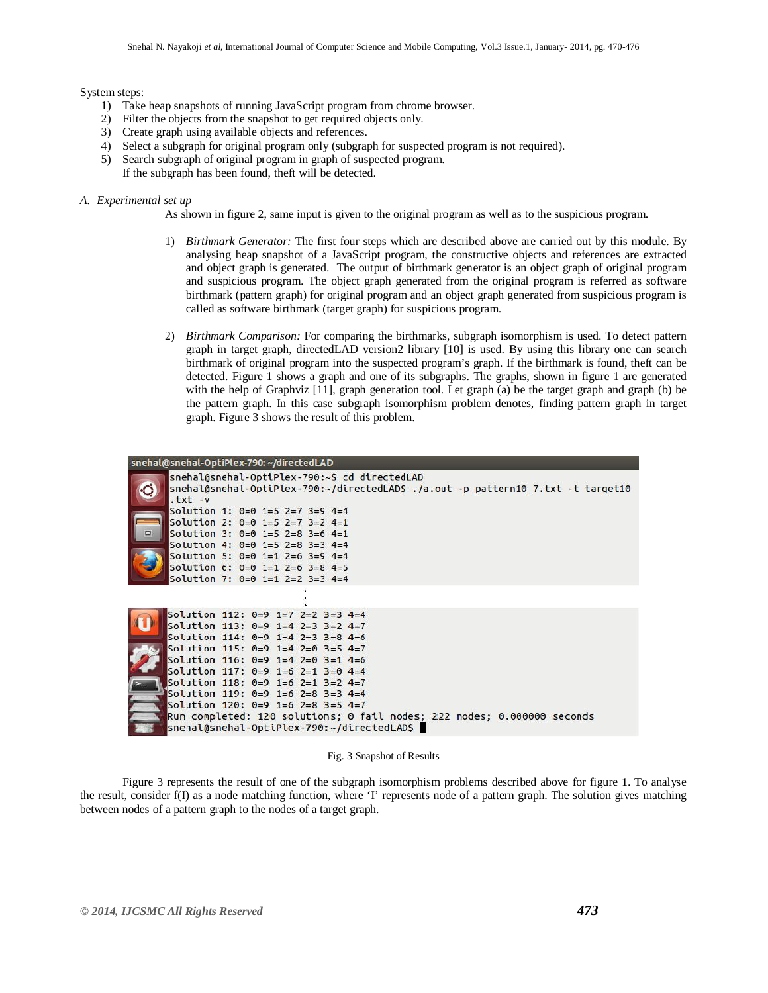#### System steps:

- 1) Take heap snapshots of running JavaScript program from chrome browser.
- 2) Filter the objects from the snapshot to get required objects only.
- 3) Create graph using available objects and references.
- 4) Select a subgraph for original program only (subgraph for suspected program is not required).
- 5) Search subgraph of original program in graph of suspected program. If the subgraph has been found, theft will be detected.

#### *A. Experimental set up*

As shown in figure 2, same input is given to the original program as well as to the suspicious program.

- 1) *Birthmark Generator:* The first four steps which are described above are carried out by this module. By analysing heap snapshot of a JavaScript program, the constructive objects and references are extracted and object graph is generated. The output of birthmark generator is an object graph of original program and suspicious program. The object graph generated from the original program is referred as software birthmark (pattern graph) for original program and an object graph generated from suspicious program is called as software birthmark (target graph) for suspicious program.
- 2) *Birthmark Comparison:* For comparing the birthmarks, subgraph isomorphism is used. To detect pattern graph in target graph, directedLAD version2 library [10] is used. By using this library one can search birthmark of original program into the suspected program's graph. If the birthmark is found, theft can be detected. Figure 1 shows a graph and one of its subgraphs. The graphs, shown in figure 1 are generated with the help of Graphviz [11], graph generation tool. Let graph (a) be the target graph and graph (b) be the pattern graph. In this case subgraph isomorphism problem denotes, finding pattern graph in target graph. Figure 3 shows the result of this problem.

| snehal@snehal-OptiPlex-790: ~/directedLAD                                                                                                                                                                                                                                                                                                                                                                                                   |
|---------------------------------------------------------------------------------------------------------------------------------------------------------------------------------------------------------------------------------------------------------------------------------------------------------------------------------------------------------------------------------------------------------------------------------------------|
| snehal@snehal-OptiPlex-790:~\$ cd directedLAD<br>snehal@snehal-OptiPlex-790:~/directedLAD\$ ./a.out -p pattern10_7.txt -t target10<br>$.txt - v$<br>Solution 1: $0=0$ 1=5 2=7 3=9 4=4<br>Solution 2: $0=0$ 1=5 2=7 3=2 4=1<br>$\qquad \qquad \Box$<br>Solution 3: $0=0$ 1=5 2=8 3=6 4=1<br>Solution 4: $0=0$ 1=5 2=8 3=3 4=4<br>Solution 5: $0=0$ 1=1 2=6 3=9 4=4<br>Solution 6: $0=0$ 1=1 2=6 3=8 4=5<br>Solution 7: $0=0$ 1=1 2=2 3=3 4=4 |
|                                                                                                                                                                                                                                                                                                                                                                                                                                             |
| Solution 112: $0=9$ 1=7 2=2 3=3 4=4<br>Solution 113: $0=9$ 1=4 2=3 3=2 4=7<br>Solution 114: $0=9$ 1=4 2=3 3=8 4=6                                                                                                                                                                                                                                                                                                                           |
| Solution 115: $0=9$ 1=4 2=0 3=5 4=7<br>Solution 116: $0=9$ 1=4 2=0 3=1 4=6<br>Solution 117: $0=9$ 1=6 2=1 3=0 4=4                                                                                                                                                                                                                                                                                                                           |
| Solution 118: $0=9$ 1=6 2=1 3=2 4=7<br>Solution 119: $0=9$ 1=6 2=8 3=3 4=4<br>Solution 120: 0=9 1=6 2=8 3=5 4=7                                                                                                                                                                                                                                                                                                                             |
| Run completed: 120 solutions; 0 fail nodes; 222 nodes; 0.000000 seconds<br>snehal@snehal-OptiPlex-790:~/directedLAD\$                                                                                                                                                                                                                                                                                                                       |

Fig. 3 Snapshot of Results

Figure 3 represents the result of one of the subgraph isomorphism problems described above for figure 1. To analyse the result, consider f(I) as a node matching function, where 'I' represents node of a pattern graph. The solution gives matching between nodes of a pattern graph to the nodes of a target graph.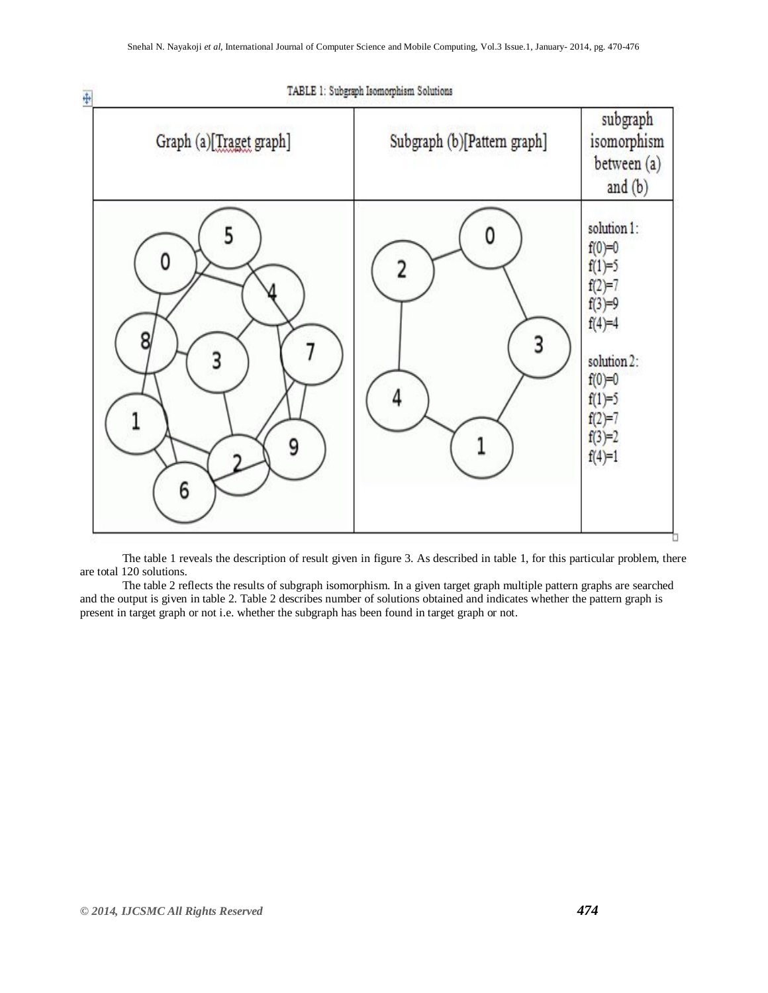

The table 1 reveals the description of result given in figure 3. As described in table 1, for this particular problem, there are total 120 solutions.

The table 2 reflects the results of subgraph isomorphism. In a given target graph multiple pattern graphs are searched and the output is given in table 2. Table 2 describes number of solutions obtained and indicates whether the pattern graph is present in target graph or not i.e. whether the subgraph has been found in target graph or not.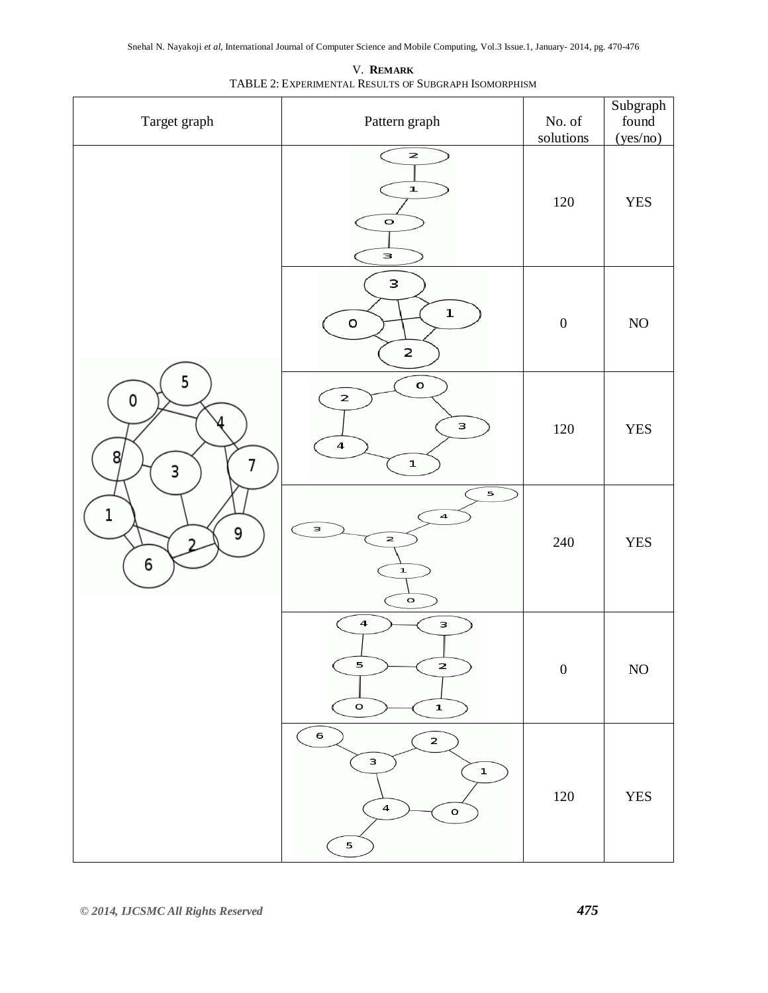| Target graph                                   | Pattern graph                                                                               | $\rm No.$ of<br>solutions | Subgraph<br>found<br>(yes/no) |
|------------------------------------------------|---------------------------------------------------------------------------------------------|---------------------------|-------------------------------|
| 5<br>0<br>л<br>8<br>7<br>3<br>1<br>9<br>າ<br>6 | $\mathsf{z}$<br>$\mathbf{I}$<br>$\mathbf{o}$<br>3                                           | 120                       | <b>YES</b>                    |
|                                                | з<br>$\mathbf 1$<br>o<br>2                                                                  | $\boldsymbol{0}$          | $\rm NO$                      |
|                                                | $\mathsf{o}$<br>$\mathbf{z}$<br>з<br>$\overline{\mathbf{4}}$<br>$\mathbf 1$                 | 120                       | <b>YES</b>                    |
|                                                | 5<br>$\overline{\mathbf{4}}$<br>3<br>$\overline{\mathbf{z}}$<br>$\mathbf 1$<br>$\mathbf{o}$ | 240                       | <b>YES</b>                    |
|                                                | $\boldsymbol{4}$<br>$\mathsf{s}$<br>5<br>2<br>$\,$ O<br>$\mathbf 1$                         | $\boldsymbol{0}$          | $\rm NO$                      |
|                                                | 6<br>$\mathbf{z}$<br>з<br>$\mathbf 1$<br>$\overline{\mathbf{4}}$<br>$\mathsf{o}$<br>5       | $120\,$                   | <b>YES</b>                    |